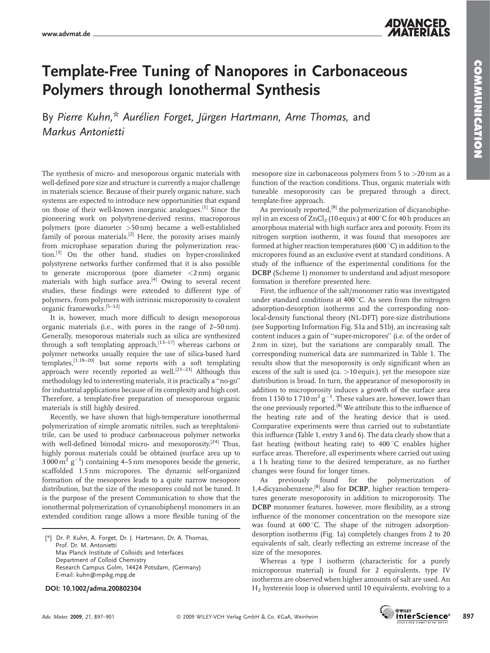COMMUNICATION

**COMMUNICATION** 

## Template-Free Tuning of Nanopores in Carbonaceous Polymers through Ionothermal Synthesis

By Pierre Kuhn,\* Aurélien Forget, Jürgen Hartmann, Arne Thomas, and Markus Antonietti

The synthesis of micro- and mesoporous organic materials with well-defined pore size and structure is currently a major challenge in materials science. Because of their purely organic nature, such systems are expected to introduce new opportunities that expand on those of their well-known inorganic analogues.<sup>[1]</sup> Since the pioneering work on polystyrene-derived resins, macroporous polymers (pore diameter >50 nm) became a well-established family of porous materials.<sup>[2]</sup> Here, the porosity arises mainly from microphase separation during the polymerization reaction.<sup>[3]</sup> On the other hand, studies on hyper-crosslinked polystyrene networks further confirmed that it is also possible to generate microporous (pore diameter <2 nm) organic materials with high surface area.<sup>[4]</sup> Owing to several recent studies, these findings were extended to different type of polymers, from polymers with intrinsic microporosity to covalent organic frameworks.[5–12]

It is, however, much more difficult to design mesoporous organic materials (i.e., with pores in the range of 2–50 nm). Generally, mesoporous materials such as silica are synthesized through a soft templating approach, $^{[13-17]}$  whereas carbons or polymer networks usually require the use of silica-based hard templates,[1,18–20] but some reports with a soft templating approach were recently reported as well.<sup>[21–23]</sup> Although this methodology led to interesting materials, it is practically a ''no-go'' for industrial applications because of its complexity and high cost. Therefore, a template-free preparation of mesoporous organic materials is still highly desired.

Recently, we have shown that high-temperature ionothermal polymerization of simple aromatic nitriles, such as terephtalonitrile, can be used to produce carbonaceous polymer networks with well-defined bimodal micro- and mesoporosity.<sup>[24]</sup> Thus, highly porous materials could be obtained (surface area up to  $3000 \,\mathrm{m}^2 \mathrm{g}^{-1}$ ) containing 4–5 nm mesopores beside the generic, scaffolded 1.5 nm micropores. The dynamic self-organized formation of the mesopores leads to a quite narrow mesopore distribution, but the size of the mesopores could not be tuned. It is the purpose of the present Communication to show that the ionothermal polymerization of cynanobiphenyl monomers in an extended condition range allows a more flexible tuning of the

[*\**] Dr. P. Kuhn, A. Forget, Dr. J. Hartmann, Dr. A. Thomas, Prof. Dr. M. Antonietti Max Planck Institute of Colloids and Interfaces Department of Colloid Chemistry Research Campus Golm, 14424 Potsdam, (Germany) E-mail: kuhn@mpikg.mpg.de

DOI: 10.1002/adma.200802304

mesopore size in carbonaceous polymers from  $5$  to  $>20$  nm as a function of the reaction conditions. Thus, organic materials with tuneable mesoporosity can be prepared through a direct, template-free approach.

As previously reported, $[8]$  the polymerization of dicyanobiphenyl in an excess of  $ZnCl<sub>2</sub>$  (10 equiv.) at 400 $^{\circ}$ C for 40 h produces an amorphous material with high surface area and porosity. From its nitrogen sorption isotherm, it was found that mesopores are formed at higher reaction temperatures (600 $^{\circ}$ C) in addition to the micropores found as an exclusive event at standard conditions. A study of the influence of the experimental conditions for the DCBP (Scheme 1) monomer to understand and adjust mesopore formation is therefore presented here.

First, the influence of the salt/monomer ratio was investigated under standard conditions at  $400^{\circ}$ C. As seen from the nitrogen adsorption-desorption isotherms and the corresponding nonlocal-density functional theory (NL-DFT) pore-size distributions (see Supporting Information Fig. S1a and S1b), an increasing salt content induces a gain of ''super-micropores'' (i.e. of the order of 2 nm in size), but the variations are comparably small. The corresponding numerical data are summarized in Table 1. The results show that the mesoporosity is only significant when an excess of the salt is used (ca.  $>10$  equiv.), yet the mesopore size distribution is broad. In turn, the appearance of mesoporosity in addition to microporosity induces a growth of the surface area from 1 150 to 1 710  $\text{m}^2\,\text{g}^{-1}$ . These values are, however, lower than the one previously reported.<sup>[8]</sup> We attribute this to the influence of the heating rate and of the heating device that is used. Comparative experiments were thus carried out to substantiate this influence (Table 1, entry 3 and 6). The data clearly show that a fast heating (without heating rate) to  $400\degree$ C enables higher surface areas. Therefore, all experiments where carried out using a 1 h heating time to the desired temperature, as no further changes were found for longer times.

As previously found for the polymerization of 1,4-dicyanobenzene,[8] also for DCBP, higher reaction temperatures generate mesoporosity in addition to microporosity. The DCBP monomer features, however, more flexibility, as a strong influence of the monomer concentration on the mesopore size was found at  $600^{\circ}$ C. The shape of the nitrogen adsorptiondesorption isotherms (Fig. 1a) completely changes from 2 to 20 equivalents of salt, clearly reflecting an extreme increase of the size of the mesopores.

Whereas a type I isotherm (characteristic for a purely microporous material) is found for 2 equivalents, type IV isotherms are observed when higher amounts of salt are used. An  $H_2$  hysteresis loop is observed until 10 equivalents, evolving to a

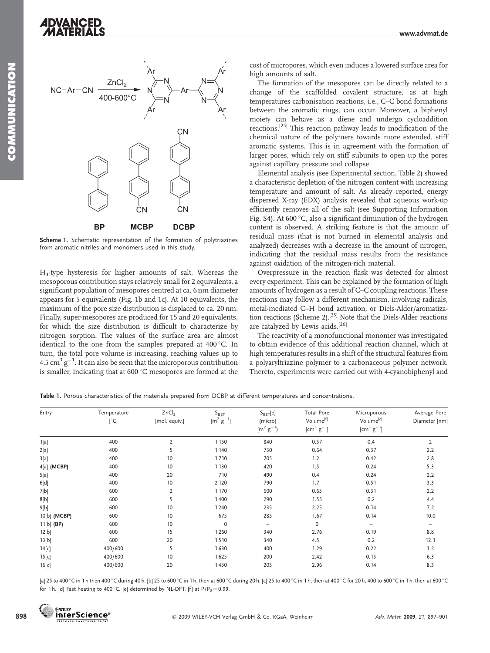

Scheme 1. Schematic representation of the formation of polytriazines from aromatic nitriles and monomers used in this study.

H3-type hysteresis for higher amounts of salt. Whereas the mesoporous contribution stays relatively small for 2 equivalents, a significant population of mesopores centred at ca. 6 nm diameter appears for 5 equivalents (Fig. 1b and 1c). At 10 equivalents, the maximum of the pore size distribution is displaced to ca. 20 nm. Finally, super-mesopores are produced for 15 and 20 equivalents, for which the size distribution is difficult to characterize by nitrogen sorption. The values of the surface area are almost identical to the one from the samples prepared at  $400^{\circ}$ C. In turn, the total pore volume is increasing, reaching values up to 4.5  $\text{cm}^3 \text{ g}^{-1}$ . It can also be seen that the microporous contribution is smaller, indicating that at  $600^{\circ}$ C mesopores are formed at the cost of micropores, which even induces a lowered surface area for high amounts of salt.

The formation of the mesopores can be directly related to a change of the scaffolded covalent structure, as at high temperatures carbonisation reactions, i.e., C–C bond formations between the aromatic rings, can occur. Moreover, a biphenyl moiety can behave as a diene and undergo cycloaddition reactions.[25] This reaction pathway leads to modification of the chemical nature of the polymers towards more extended, stiff aromatic systems. This is in agreement with the formation of larger pores, which rely on stiff subunits to open up the pores against capillary pressure and collapse.

Elemental analysis (see Experimental section, Table 2) showed a characteristic depletion of the nitrogen content with increasing temperature and amount of salt. As already reported, energy dispersed X-ray (EDX) analysis revealed that aqueous work-up efficiently removes all of the salt (see Supporting Information Fig. S4). At 600 $^{\circ}$ C, also a significant diminution of the hydrogen content is observed. A striking feature is that the amount of residual mass (that is not burned in elemental analysis and analyzed) decreases with a decrease in the amount of nitrogen, indicating that the residual mass results from the resistance against oxidation of the nitrogen-rich material.

Overpressure in the reaction flask was detected for almost every experiment. This can be explained by the formation of high amounts of hydrogen as a result of C–C coupling reactions. These reactions may follow a different mechanism, involving radicals, metal-mediated C–H bond activation, or Diels-Alder/aromatization reactions (Scheme 2).<sup>[25]</sup> Note that the Diels-Alder reactions are catalyzed by Lewis acids.[26]

The reactivity of a monofunctional monomer was investigated to obtain evidence of this additional reaction channel, which at high temperatures results in a shift of the structural features from a polyaryltriazine polymer to a carbonaceous polymer network. Thereto, experiments were carried out with 4-cyanobiphenyl and

Table 1. Porous characteristics of the materials prepared from DCBP at different temperatures and concentrations.

| Entry        | Temperature<br>[°C] | ZnCl <sub>2</sub><br>[mol. equiv.] | $S_{\mathsf{BET}}$<br>$[m^2 g^{-1}]$ | $S_{\text{BET}}[e]$<br>(micro)<br>$[m^2 g^{-1}]$ | <b>Total Pore</b><br>Volume <sup>[f]</sup><br>[cm <sup>3</sup> $g^{-1}$ ] | Microporous<br>Volume <sup>[e]</sup><br>$[cm^3 \text{ g}^{-1}]$ | Average Pore<br>Diameter [nm] |
|--------------|---------------------|------------------------------------|--------------------------------------|--------------------------------------------------|---------------------------------------------------------------------------|-----------------------------------------------------------------|-------------------------------|
| 1[a]         | 400                 | $\overline{2}$                     | 1150                                 | 840                                              | 0.57                                                                      | 0.4                                                             | $\overline{2}$                |
| 2[a]         | 400                 | 5                                  | 1140                                 | 730                                              | 0.64                                                                      | 0.37                                                            | 2.2                           |
| 3[a]         | 400                 | 10                                 | 1710                                 | 705                                              | 1.2                                                                       | 0.42                                                            | 2.8                           |
| 4[a] (MCBP)  | 400                 | 10                                 | 1 1 3 0                              | 420                                              | 1.5                                                                       | 0.24                                                            | 5.3                           |
| 5[a]         | 400                 | 20                                 | 710                                  | 490                                              | 0.4                                                                       | 0.24                                                            | 2.2                           |
| 6[d]         | 400                 | 10                                 | 2 1 2 0                              | 790                                              | 1.7                                                                       | 0.51                                                            | 3.3                           |
| 7[b]         | 600                 | $\overline{2}$                     | 1170                                 | 600                                              | 0.65                                                                      | 0.31                                                            | 2.2                           |
| 8[b]         | 600                 | 5                                  | 1400                                 | 290                                              | 1.55                                                                      | 0.2                                                             | 4.4                           |
| 9[b]         | 600                 | 10                                 | 1240                                 | 235                                              | 2.25                                                                      | 0.14                                                            | 7.2                           |
| 10[b] (MCBP) | 600                 | 10                                 | 675                                  | 285                                              | 1.67                                                                      | 0.14                                                            | 10.0                          |
| 11[b] (BP)   | 600                 | 10                                 | $\mathbf 0$                          | $\qquad \qquad -$                                | $\mathbf 0$                                                               | $\qquad \qquad -$                                               | $\overline{\phantom{m}}$      |
| 12[b]        | 600                 | 15                                 | 1260                                 | 340                                              | 2.76                                                                      | 0.19                                                            | 8.8                           |
| 13[b]        | 600                 | 20                                 | 1510                                 | 340                                              | 4.5                                                                       | 0.2                                                             | 12.1                          |
| 14[c]        | 400/600             | 5                                  | 1630                                 | 400                                              | 1.29                                                                      | 0.22                                                            | 3.2                           |
| 15[c]        | 400/600             | 10                                 | 1625                                 | 200                                              | 2.42                                                                      | 0.15                                                            | 6.3                           |
| 16[c]        | 400/600             | 20                                 | 1430                                 | 205                                              | 2.96                                                                      | 0.14                                                            | 8.3                           |

[a] 25 to 400 °C in 1 h then 400 °C during 40 h. [b] 25 to 600 °C in 1 h, then at 600 °C during 20 h. [c] 25 to 400 °C in 1 h, then at 400 °C for 20 h, 400 to 600 °C in 1 h, then at 600 °C for 1 h. [d] Fast heating to 400 °C. [e] determined by NL-DFT. [f] at  $P/P_0 = 0.99$ .

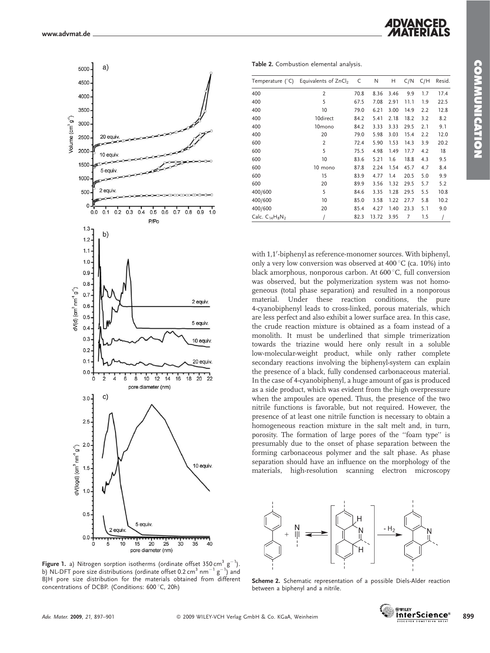

**Figure 1.** a) Nitrogen sorption isotherms (ordinate offset 350 cm $^3$  g $^{-1}$ ). b) NL-DFT pore size distributions (ordinate offset 0.2 cm $^3$  nm $^{-1}$  g $^{-1})$  and BJH pore size distribution for the materials obtained from different concentrations of DCBP. (Conditions: 600 °C, 20h)

*ADVANCED* 

Table 2. Combustion elemental analysis.

| Temperature $(^{\circ}C)$ | Equivalents of ZnCl <sub>2</sub> | C    | N     | н    | C/N  | C/H | Resid. |
|---------------------------|----------------------------------|------|-------|------|------|-----|--------|
| 400                       | $\overline{2}$                   | 70.8 | 8.36  | 3.46 | 9.9  | 1.7 | 17.4   |
| 400                       | 5                                | 67.5 | 7.08  | 2.91 | 11.1 | 1.9 | 22.5   |
| 400                       | 10                               | 79.0 | 6.21  | 3.00 | 14.9 | 2.2 | 12.8   |
| 400                       | 10direct                         | 84.2 | 5.41  | 2.18 | 18.2 | 3.2 | 8.2    |
| 400                       | 10mono                           | 84.2 | 3.33  | 3.33 | 29.5 | 2.1 | 9.1    |
| 400                       | 20                               | 79.0 | 5.98  | 3.03 | 15.4 | 2.2 | 12.0   |
| 600                       | 2                                | 72.4 | 5.90  | 1.53 | 14.3 | 3.9 | 20.2   |
| 600                       | 5                                | 75.5 | 4.98  | 1.49 | 17.7 | 4.2 | 18     |
| 600                       | 10                               | 83.6 | 5.21  | 1.6  | 18.8 | 4.3 | 9.5    |
| 600                       | 10 mono                          | 87.8 | 2.24  | 1.54 | 45.7 | 4.7 | 8.4    |
| 600                       | 15                               | 83.9 | 4.77  | 1.4  | 20.5 | 5.0 | 9.9    |
| 600                       | 20                               | 89.9 | 3.56  | 1.32 | 29.5 | 5.7 | 5.2    |
| 400/600                   | 5                                | 84.6 | 3.35  | 1.28 | 29.5 | 5.5 | 10.8   |
| 400/600                   | 10                               | 85.0 | 3.58  | 1.22 | 27.7 | 5.8 | 10.2   |
| 400/600                   | 20                               | 85.4 | 4.27  | 1.40 | 23.3 | 5.1 | 9.0    |
| Calc. $C_{14}H_8N_2$      |                                  | 82.3 | 13.72 | 3.95 | 7    | 1.5 |        |

with 1,1'-biphenyl as reference-monomer sources. With biphenyl, only a very low conversion was observed at  $400^{\circ}$ C (ca. 10%) into black amorphous, nonporous carbon. At 600 °C, full conversion was observed, but the polymerization system was not homogeneous (total phase separation) and resulted in a nonporous material. Under these reaction conditions, the pure 4-cyanobiphenyl leads to cross-linked, porous materials, which are less perfect and also exhibit a lower surface area. In this case, the crude reaction mixture is obtained as a foam instead of a monolith. It must be underlined that simple trimerization towards the triazine would here only result in a soluble low-molecular-weight product, while only rather complete secondary reactions involving the biphenyl-system can explain the presence of a black, fully condensed carbonaceous material. In the case of 4-cyanobiphenyl, a huge amount of gas is produced as a side product, which was evident from the high overpressure when the ampoules are opened. Thus, the presence of the two nitrile functions is favorable, but not required. However, the presence of at least one nitrile function is necessary to obtain a homogeneous reaction mixture in the salt melt and, in turn, porosity. The formation of large pores of the ''foam type'' is presumably due to the onset of phase separation between the forming carbonaceous polymer and the salt phase. As phase separation should have an influence on the morphology of the materials, high-resolution scanning electron microscopy



Scheme 2. Schematic representation of a possible Diels-Alder reaction between a biphenyl and a nitrile.

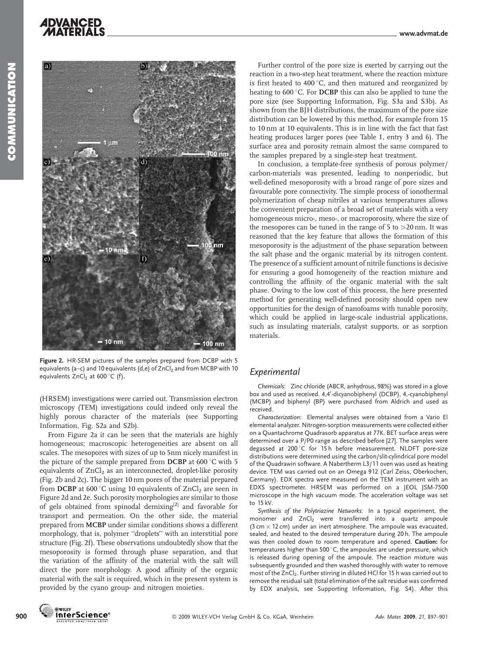**ADVANCED** 



Figure 2. HR-SEM pictures of the samples prepared from DCBP with 5 equivalents (a–c) and 10 equivalents (d,e) of  $ZnCl<sub>2</sub>$  and from MCBP with 10 equivalents  $ZnCl<sub>2</sub>$  at 600 °C (f).

(HRSEM) investigations were carried out. Transmission electron microscopy (TEM) investigations could indeed only reveal the highly porous character of the materials (see Supporting Information, Fig. S2a and S2b).

From Figure 2a it can be seen that the materials are highly homogeneous; macroscopic heterogeneities are absent on all scales. The mesopores with sizes of up to 5nm nicely manifest in the picture of the sample prepared from DCBP at  $600^{\circ}$ C with 5 equivalents of  $ZnCl<sub>2</sub>$  as an interconnected, droplet-like porosity (Fig. 2b and 2c). The bigger 10 nm pores of the material prepared from DCBP at 600 °C using 10 equivalents of  $ZnCl<sub>2</sub>$  are seen in Figure 2d and 2e. Such porosity morphologies are similar to those of gels obtained from spinodal demixing[2] and favorable for transport and permeation. On the other side, the material prepared from MCBP under similar conditions shows a different morphology, that is, polymer ''droplets'' with an interstitial pore structure (Fig. 2f). These observations undoubtedly show that the mesoporosity is formed through phase separation, and that the variation of the affinity of the material with the salt will direct the pore morphology. A good affinity of the organic material with the salt is required, which in the present system is provided by the cyano group- and nitrogen moieties.

Further control of the pore size is exerted by carrying out the reaction in a two-step heat treatment, where the reaction mixture is first heated to 400 $^{\circ}$ C, and then matured and reorganized by heating to  $600^{\circ}$ C. For **DCBP** this can also be applied to tune the pore size (see Supporting Information, Fig. S3a and S3b). As shown from the BJH distributions, the maximum of the pore size distribution can be lowered by this method, for example from 15 to 10 nm at 10 equivalents. This is in line with the fact that fast heating produces larger pores (see Table 1, entry 3 and 6). The surface area and porosity remain almost the same compared to the samples prepared by a single-step heat treatment.

In conclusion, a template-free synthesis of porous polymer/ carbon-materials was presented, leading to nonperiodic, but well-defined mesoporosity with a broad range of pore sizes and favourable pore connectivity. The simple process of ionothermal polymerization of cheap nitriles at various temperatures allows the convenient preparation of a broad set of materials with a very homogeneous micro-, meso-, or macroporosity, where the size of the mesopores can be tuned in the range of 5 to >20 nm. It was reasoned that the key feature that allows the formation of this mesoporosity is the adjustment of the phase separation between the salt phase and the organic material by its nitrogen content. The presence of a sufficient amount of nitrile functions is decisive for ensuring a good homogeneity of the reaction mixture and controlling the affinity of the organic material with the salt phase. Owing to the low cost of this process, the here presented method for generating well-defined porosity should open new opportunities for the design of nanofoams with tunable porosity, which could be applied in large-scale industrial applications, such as insulating materials, catalyst supports, or as sorption materials.

## Experimental

Chemicals: Zinc chloride (ABCR, anhydrous, 98%) was stored in a glove box and used as received. 4,4'-dicyanobiphenyl (DCBP), 4,-cyanobiphenyl (MCBP) and biphenyl (BP) were purchased from Aldrich and used as received.

Characterization: Elemental analyses were obtained from a Vario El elemental analyzer. Nitrogen-sorption measurements were collected either on a Quantachrome Quadrasorb apparatus at 77K. BET surface areas were determined over a P/P0 range as described before [27]. The samples were degassed at 200 $\degree$ C for 15h before measurement. NLDFT pore-size distributions were determined using the carbon/slit-cylindrical pore model of the Quadrawin software. A Nabertherm L3/11 oven was used as heating device. TEM was carried out on an Omega 912 (Carl Zeiss, Oberkochen, Germany). EDX spectra were measured on the TEM instrument with an EDXS spectrometer. HRSEM was performed on a JEOL JSM-7500 microscope in the high vacuum mode. The acceleration voltage was set to 15 kV.

Synthesis of the Polytriazine Networks: In a typical experiment, the monomer and  $ZnCl<sub>2</sub>$  were transferred into a quartz ampoule  $(3 \text{ cm} \times 12 \text{ cm})$  under an inert atmosphere. The ampoule was evacuated, sealed, and heated to the desired temperature during 20 h. The ampoule was then cooled down to room temperature and opened. Caution: for temperatures higher than 500 $^{\circ}$ C, the ampoules are under pressure, which is released during opening of the ampoule. The reaction mixture was subsequently grounded and then washed thoroughly with water to remove most of the ZnCl<sub>2</sub>. Further stirring in diluted HCl for 15 h was carried out to remove the residual salt (total elimination of the salt residue was confirmed by EDX analysis, see Supporting Information, Fig. S4). After this